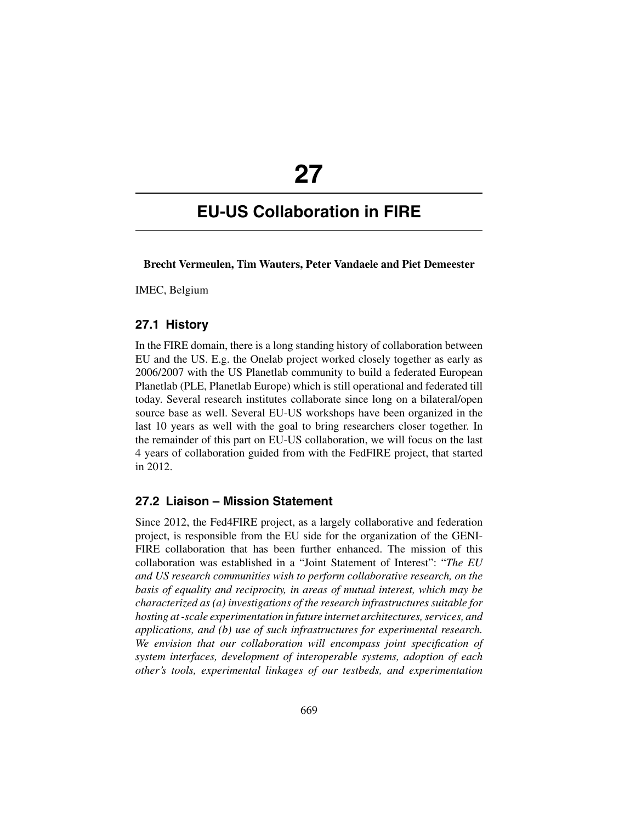# **27**

# **EU-US Collaboration in FIRE**

**Brecht Vermeulen, Tim Wauters, Peter Vandaele and Piet Demeester**

IMEC, Belgium

#### **27.1 History**

In the FIRE domain, there is a long standing history of collaboration between EU and the US. E.g. the Onelab project worked closely together as early as 2006/2007 with the US Planetlab community to build a federated European Planetlab (PLE, Planetlab Europe) which is still operational and federated till today. Several research institutes collaborate since long on a bilateral/open source base as well. Several EU-US workshops have been organized in the last 10 years as well with the goal to bring researchers closer together. In the remainder of this part on EU-US collaboration, we will focus on the last 4 years of collaboration guided from with the FedFIRE project, that started in 2012.

#### **27.2 Liaison – Mission Statement**

Since 2012, the Fed4FIRE project, as a largely collaborative and federation project, is responsible from the EU side for the organization of the GENI-FIRE collaboration that has been further enhanced. The mission of this collaboration was established in a "Joint Statement of Interest": "*The EU and US research communities wish to perform collaborative research, on the basis of equality and reciprocity, in areas of mutual interest, which may be characterized as (a) investigations of the research infrastructures suitable for hosting at -scale experimentation in future internet architectures, services, and applications, and (b) use of such infrastructures for experimental research. We envision that our collaboration will encompass joint specification of system interfaces, development of interoperable systems, adoption of each other's tools, experimental linkages of our testbeds, and experimentation*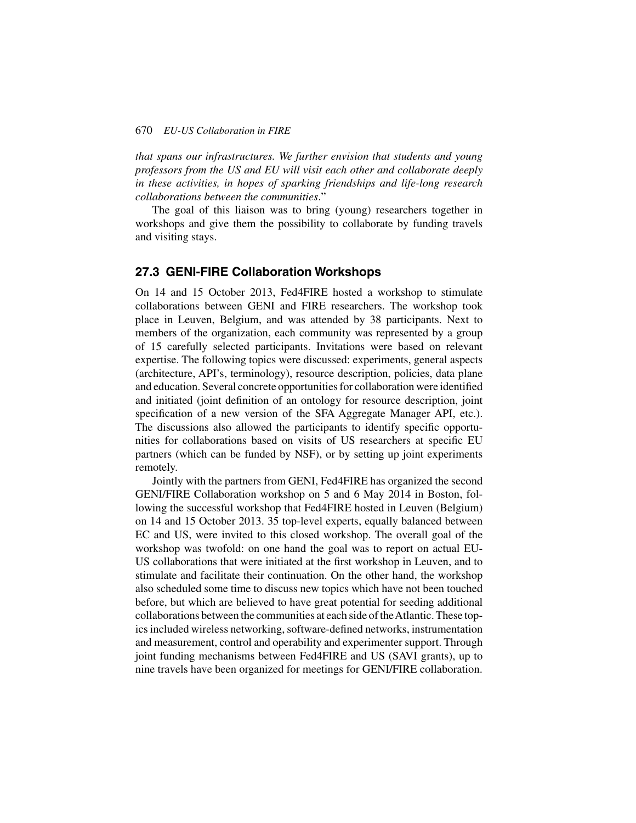#### 670 *EU-US Collaboration in FIRE*

*that spans our infrastructures. We further envision that students and young professors from the US and EU will visit each other and collaborate deeply in these activities, in hopes of sparking friendships and life-long research collaborations between the communities*."

The goal of this liaison was to bring (young) researchers together in workshops and give them the possibility to collaborate by funding travels and visiting stays.

#### **27.3 GENI-FIRE Collaboration Workshops**

On 14 and 15 October 2013, Fed4FIRE hosted a workshop to stimulate collaborations between GENI and FIRE researchers. The workshop took place in Leuven, Belgium, and was attended by 38 participants. Next to members of the organization, each community was represented by a group of 15 carefully selected participants. Invitations were based on relevant expertise. The following topics were discussed: experiments, general aspects (architecture, API's, terminology), resource description, policies, data plane and education. Several concrete opportunities for collaboration were identified and initiated (joint definition of an ontology for resource description, joint specification of a new version of the SFA Aggregate Manager API, etc.). The discussions also allowed the participants to identify specific opportunities for collaborations based on visits of US researchers at specific EU partners (which can be funded by NSF), or by setting up joint experiments remotely.

Jointly with the partners from GENI, Fed4FIRE has organized the second GENI/FIRE Collaboration workshop on 5 and 6 May 2014 in Boston, following the successful workshop that Fed4FIRE hosted in Leuven (Belgium) on 14 and 15 October 2013. 35 top-level experts, equally balanced between EC and US, were invited to this closed workshop. The overall goal of the workshop was twofold: on one hand the goal was to report on actual EU-US collaborations that were initiated at the first workshop in Leuven, and to stimulate and facilitate their continuation. On the other hand, the workshop also scheduled some time to discuss new topics which have not been touched before, but which are believed to have great potential for seeding additional collaborations between the communities at each side of theAtlantic. These topics included wireless networking, software-defined networks, instrumentation and measurement, control and operability and experimenter support. Through joint funding mechanisms between Fed4FIRE and US (SAVI grants), up to nine travels have been organized for meetings for GENI/FIRE collaboration.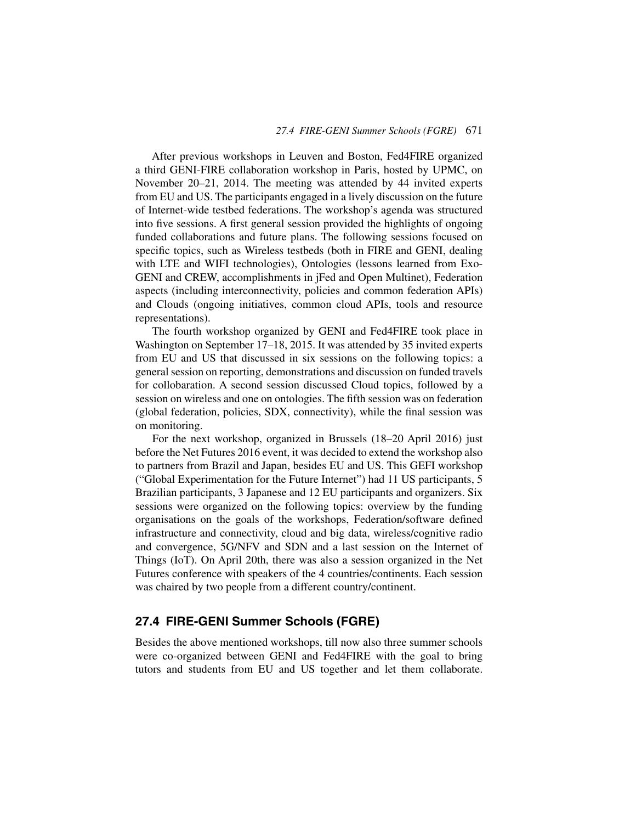After previous workshops in Leuven and Boston, Fed4FIRE organized a third GENI-FIRE collaboration workshop in Paris, hosted by UPMC, on November 20–21, 2014. The meeting was attended by 44 invited experts from EU and US. The participants engaged in a lively discussion on the future of Internet-wide testbed federations. The workshop's agenda was structured into five sessions. A first general session provided the highlights of ongoing funded collaborations and future plans. The following sessions focused on specific topics, such as Wireless testbeds (both in FIRE and GENI, dealing with LTE and WIFI technologies), Ontologies (lessons learned from Exo-GENI and CREW, accomplishments in jFed and Open Multinet), Federation aspects (including interconnectivity, policies and common federation APIs) and Clouds (ongoing initiatives, common cloud APIs, tools and resource representations).

The fourth workshop organized by GENI and Fed4FIRE took place in Washington on September 17–18, 2015. It was attended by 35 invited experts from EU and US that discussed in six sessions on the following topics: a general session on reporting, demonstrations and discussion on funded travels for collobaration. A second session discussed Cloud topics, followed by a session on wireless and one on ontologies. The fifth session was on federation (global federation, policies, SDX, connectivity), while the final session was on monitoring.

For the next workshop, organized in Brussels (18–20 April 2016) just before the Net Futures 2016 event, it was decided to extend the workshop also to partners from Brazil and Japan, besides EU and US. This GEFI workshop ("Global Experimentation for the Future Internet") had 11 US participants, 5 Brazilian participants, 3 Japanese and 12 EU participants and organizers. Six sessions were organized on the following topics: overview by the funding organisations on the goals of the workshops, Federation/software defined infrastructure and connectivity, cloud and big data, wireless/cognitive radio and convergence, 5G/NFV and SDN and a last session on the Internet of Things (IoT). On April 20th, there was also a session organized in the Net Futures conference with speakers of the 4 countries/continents. Each session was chaired by two people from a different country/continent.

#### **27.4 FIRE-GENI Summer Schools (FGRE)**

Besides the above mentioned workshops, till now also three summer schools were co-organized between GENI and Fed4FIRE with the goal to bring tutors and students from EU and US together and let them collaborate.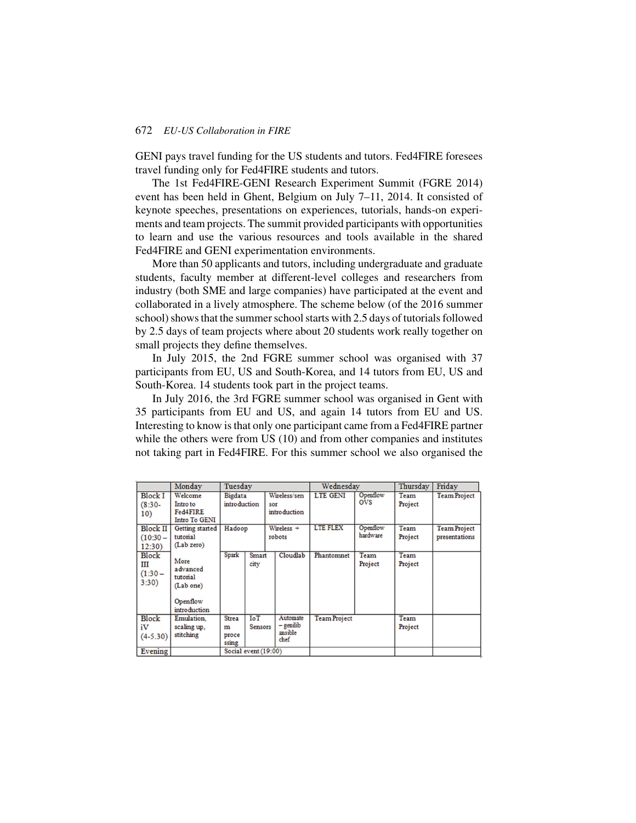#### 672 *EU-US Collaboration in FIRE*

GENI pays travel funding for the US students and tutors. Fed4FIRE foresees travel funding only for Fed4FIRE students and tutors.

The 1st Fed4FIRE-GENI Research Experiment Summit (FGRE 2014) event has been held in Ghent, Belgium on July 7–11, 2014. It consisted of keynote speeches, presentations on experiences, tutorials, hands-on experiments and team projects. The summit provided participants with opportunities to learn and use the various resources and tools available in the shared Fed4FIRE and GENI experimentation environments.

More than 50 applicants and tutors, including undergraduate and graduate students, faculty member at different-level colleges and researchers from industry (both SME and large companies) have participated at the event and collaborated in a lively atmosphere. The scheme below (of the 2016 summer school) shows that the summer school starts with 2.5 days of tutorials followed by 2.5 days of team projects where about 20 students work really together on small projects they define themselves.

In July 2015, the 2nd FGRE summer school was organised with 37 participants from EU, US and South-Korea, and 14 tutors from EU, US and South-Korea. 14 students took part in the project teams.

In July 2016, the 3rd FGRE summer school was organised in Gent with 35 participants from EU and US, and again 14 tutors from EU and US. Interesting to know is that only one participant came from a Fed4FIRE partner while the others were from US (10) and from other companies and institutes not taking part in Fed4FIRE. For this summer school we also organised the

|                                         | Monday                                                                | Tuesday                             |                               |                                            | Wednesdav           |                      | Thursday        | Friday                               |
|-----------------------------------------|-----------------------------------------------------------------------|-------------------------------------|-------------------------------|--------------------------------------------|---------------------|----------------------|-----------------|--------------------------------------|
| <b>Block I</b><br>$(8:30 -$<br>10)      | Welcome<br>Intro to<br>Fed4FIRE<br>Intro To GENI                      | <b>Bigdata</b><br>introduction      |                               | Wireless/sen<br>sor<br>introduction        | <b>LTE GENI</b>     | Openflow<br>ovs      | Team<br>Project | <b>Team Project</b>                  |
| <b>Block II</b><br>$(10:30 -$<br>12:30) | Getting started<br>tutorial<br>(Lab zero)                             | Hadoop                              |                               | Wireless +<br>robots                       | <b>LTE FLEX</b>     | Openflow<br>hardware | Team<br>Project | <b>Team Project</b><br>presentations |
| Block<br>Ш<br>$(1:30 -$<br>3:30)        | More<br>advanced<br>tutorial<br>(Lab one)<br>Openflow<br>introduction | Spark                               | Smart<br>city                 | Cloudlab                                   | Phantomnet          | Team<br>Project      | Team<br>Project |                                      |
| Block<br>iV<br>$(4-5.30)$               | Emulation.<br>scaling up.<br>stitching                                | <b>Strea</b><br>m<br>proce<br>ssing | $I \circ T$<br><b>Sensors</b> | Automate<br>$-$ genilib<br>ansible<br>chef | <b>Team Project</b> |                      | Team<br>Project |                                      |
| Evening                                 | Social event (19:00)                                                  |                                     |                               |                                            |                     |                      |                 |                                      |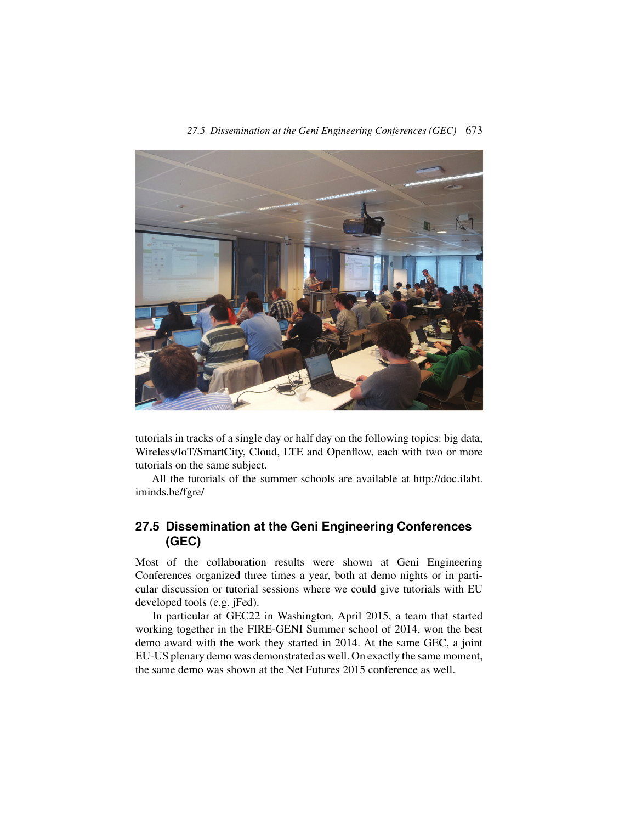

tutorials in tracks of a single day or half day on the following topics: big data, Wireless/IoT/SmartCity, Cloud, LTE and Openflow, each with two or more tutorials on the same subject.

All the tutorials of the summer schools are available at http://doc.ilabt. iminds.be/fgre/

## **27.5 Dissemination at the Geni Engineering Conferences (GEC)**

Most of the collaboration results were shown at Geni Engineering Conferences organized three times a year, both at demo nights or in particular discussion or tutorial sessions where we could give tutorials with EU developed tools (e.g. jFed).

In particular at GEC22 in Washington, April 2015, a team that started working together in the FIRE-GENI Summer school of 2014, won the best demo award with the work they started in 2014. At the same GEC, a joint EU-US plenary demo was demonstrated as well. On exactly the same moment, the same demo was shown at the Net Futures 2015 conference as well.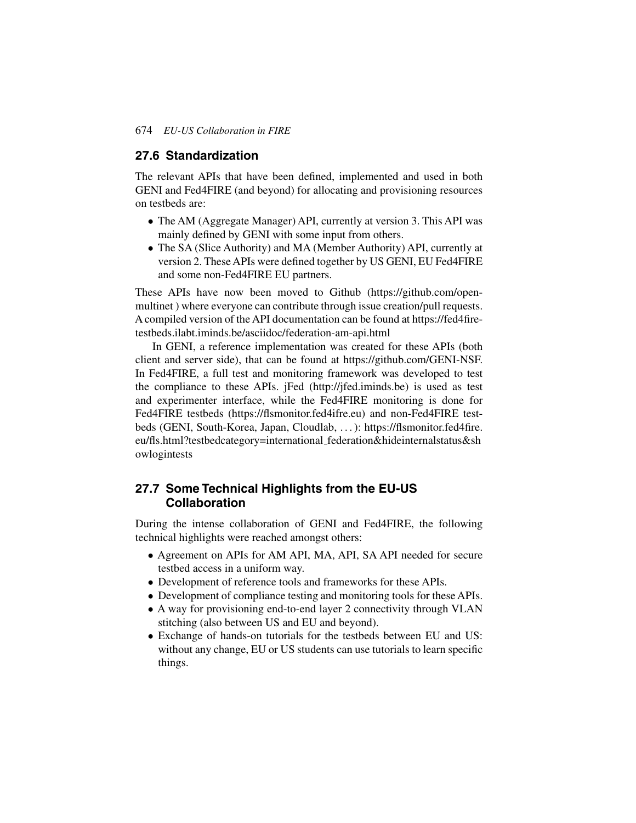#### **27.6 Standardization**

The relevant APIs that have been defined, implemented and used in both GENI and Fed4FIRE (and beyond) for allocating and provisioning resources on testbeds are:

- The AM (Aggregate Manager) API, currently at version 3. This API was mainly defined by GENI with some input from others.
- The SA (Slice Authority) and MA (Member Authority) API, currently at version 2. These APIs were defined together by US GENI, EU Fed4FIRE and some non-Fed4FIRE EU partners.

These APIs have now been moved to Github (https://github.com/openmultinet ) where everyone can contribute through issue creation/pull requests. A compiled version of the API documentation can be found at https://fed4firetestbeds.ilabt.iminds.be/asciidoc/federation-am-api.html

In GENI, a reference implementation was created for these APIs (both client and server side), that can be found at https://github.com/GENI-NSF. In Fed4FIRE, a full test and monitoring framework was developed to test the compliance to these APIs. jFed (http://jfed.iminds.be) is used as test and experimenter interface, while the Fed4FIRE monitoring is done for Fed4FIRE testbeds (https://flsmonitor.fed4ifre.eu) and non-Fed4FIRE testbeds (GENI, South-Korea, Japan, Cloudlab, . . . ): https://flsmonitor.fed4fire. eu/fls.html?testbedcategory=international federation&hideinternalstatus&sh owlogintests

#### **27.7 Some Technical Highlights from the EU-US Collaboration**

During the intense collaboration of GENI and Fed4FIRE, the following technical highlights were reached amongst others:

- Agreement on APIs for AM API, MA, API, SA API needed for secure testbed access in a uniform way.
- Development of reference tools and frameworks for these APIs.
- Development of compliance testing and monitoring tools for these APIs.
- A way for provisioning end-to-end layer 2 connectivity through VLAN stitching (also between US and EU and beyond).
- Exchange of hands-on tutorials for the testbeds between EU and US: without any change, EU or US students can use tutorials to learn specific things.